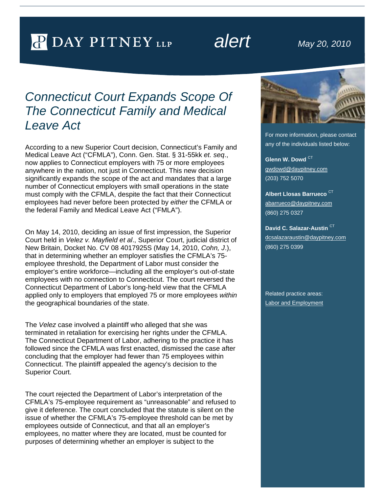# P DAY PITNEY LLP

# *alert May 20, 2010*

## *Connecticut Court Expands Scope Of The Connecticut Family and Medical Leave Act*

According to a new Superior Court decision, Connecticut's Family and Medical Leave Act ("CFMLA"), Conn. Gen. Stat. § 31-55kk *et. seq*., now applies to Connecticut employers with 75 or more employees anywhere in the nation, not just in Connecticut. This new decision significantly expands the scope of the act and mandates that a large number of Connecticut employers with small operations in the state must comply with the CFMLA, despite the fact that their Connecticut employees had never before been protected by *either* the CFMLA or the federal Family and Medical Leave Act ("FMLA").

On May 14, 2010, deciding an issue of first impression, the Superior Court held in *Velez v. Mayfield et al*., Superior Court, judicial district of New Britain, Docket No. CV 08 4017925S (May 14, 2010, *Cohn, J*.), that in determining whether an employer satisfies the CFMLA's 75 employee threshold, the Department of Labor must consider the employer's entire workforce—including all the employer's out-of-state employees with no connection to Connecticut. The court reversed the Connecticut Department of Labor's long-held view that the CFMLA applied only to employers that employed 75 or more employees *within* the geographical boundaries of the state.

The *Velez* case involved a plaintiff who alleged that she was terminated in retaliation for exercising her rights under the CFMLA. The Connecticut Department of Labor, adhering to the practice it has followed since the CFMLA was first enacted, dismissed the case after concluding that the employer had fewer than 75 employees within Connecticut. The plaintiff appealed the agency's decision to the Superior Court.

The court rejected the Department of Labor's interpretation of the CFMLA's 75-employee requirement as "unreasonable" and refused to give it deference. The court concluded that the statute is silent on the issue of whether the CFMLA's 75-employee threshold can be met by employees outside of Connecticut, and that all an employer's employees, no matter where they are located, must be counted for purposes of determining whether an employer is subject to the



For more information, please contact any of the individuals listed below:

**Glenn W. Dowd** CT gwdowd@daypitney.com (203) 752 5070

**Albert Llosas Barrueco** CT abarrueco@daypitney.com (860) 275 0327

**David C. Salazar-Austin** CT dcsalazaraustin@daypitney.com (860) 275 0399

Related practice areas: Labor and Employment